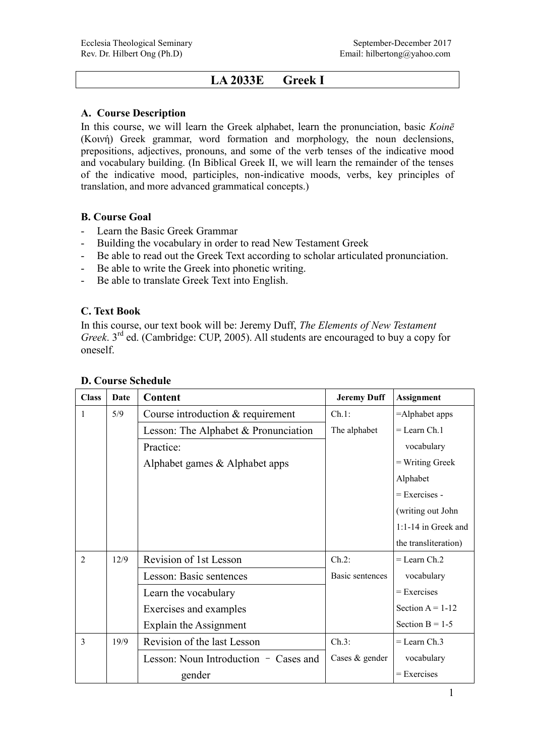# **LA 2033E Greek I**

#### **A. Course Description**

In this course, we will learn the Greek alphabet, learn the pronunciation, basic *Koinē*  (Κοινή) Greek grammar, word formation and morphology, the noun declensions, prepositions, adjectives, pronouns, and some of the verb tenses of the indicative mood and vocabulary building. (In Biblical Greek II, we will learn the remainder of the tenses of the indicative mood, participles, non-indicative moods, verbs, key principles of translation, and more advanced grammatical concepts.)

### **B. Course Goal**

- Learn the Basic Greek Grammar
- Building the vocabulary in order to read New Testament Greek
- Be able to read out the Greek Text according to scholar articulated pronunciation.
- Be able to write the Greek into phonetic writing.
- Be able to translate Greek Text into English.

### **C. Text Book**

In this course, our text book will be: Jeremy Duff, *The Elements of New Testament Greek*. 3rd ed. (Cambridge: CUP, 2005). All students are encouraged to buy a copy for oneself.

| <b>Class</b>   | <b>Date</b> | Content                                | <b>Jeremy Duff</b> | <b>Assignment</b>     |
|----------------|-------------|----------------------------------------|--------------------|-----------------------|
| $\mathbf{1}$   | 5/9         | Course introduction & requirement      | Ch.1:              | =Alphabet apps        |
|                |             | Lesson: The Alphabet $&$ Pronunciation | The alphabet       | $=$ Learn Ch. 1       |
|                |             | Practice:                              |                    | vocabulary            |
|                |             | Alphabet games & Alphabet apps         |                    | = Writing Greek       |
|                |             |                                        |                    | Alphabet              |
|                |             |                                        |                    | $=$ Exercises -       |
|                |             |                                        |                    | (writing out John     |
|                |             |                                        |                    | $1:1-14$ in Greek and |
|                |             |                                        |                    | the transliteration)  |
| $\overline{2}$ | 12/9        | Revision of 1st Lesson                 | $Ch.2$ :           | $=$ Learn Ch 2        |
|                |             | Lesson: Basic sentences                | Basic sentences    | vocabulary            |
|                |             | Learn the vocabulary                   |                    | $=$ Exercises         |
|                |             | Exercises and examples                 |                    | Section $A = 1-12$    |
|                |             | Explain the Assignment                 |                    | Section $B = 1-5$     |
| $\overline{3}$ | 19/9        | Revision of the last Lesson            | Ch.3:              | $=$ Learn Ch. 3       |
|                |             | Lesson: Noun Introduction - Cases and  | Cases $&$ gender   | vocabulary            |
|                |             | gender                                 |                    | = Exercises           |

## **D. Course Schedule**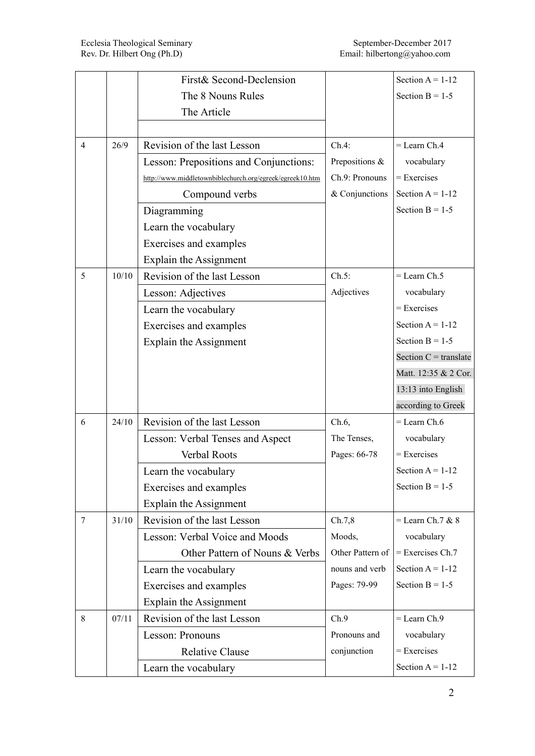|                |       | First& Second-Declension                                 |                  | Section $A = 1-12$      |
|----------------|-------|----------------------------------------------------------|------------------|-------------------------|
|                |       | The 8 Nouns Rules                                        |                  | Section $B = 1-5$       |
|                |       | The Article                                              |                  |                         |
|                |       |                                                          |                  |                         |
| $\overline{4}$ | 26/9  | Revision of the last Lesson                              | Ch.4:            | $=$ Learn Ch.4          |
|                |       | Lesson: Prepositions and Conjunctions:                   | Prepositions &   | vocabulary              |
|                |       | http://www.middletownbiblechurch.org/egreek/egreek10.htm | Ch.9: Pronouns   | $=$ Exercises           |
|                |       | Compound verbs                                           | & Conjunctions   | Section $A = 1-12$      |
|                |       | Diagramming                                              |                  | Section $B = 1-5$       |
|                |       | Learn the vocabulary                                     |                  |                         |
|                |       | Exercises and examples                                   |                  |                         |
|                |       | Explain the Assignment                                   |                  |                         |
| 5              | 10/10 | Revision of the last Lesson                              | Ch.5:            | $=$ Learn Ch.5          |
|                |       | Lesson: Adjectives                                       | Adjectives       | vocabulary              |
|                |       | Learn the vocabulary                                     |                  | $=$ Exercises           |
|                |       | Exercises and examples                                   |                  | Section $A = 1-12$      |
|                |       | Explain the Assignment                                   |                  | Section $B = 1-5$       |
|                |       |                                                          |                  | Section $C =$ translate |
|                |       |                                                          |                  | Matt. 12:35 & 2 Cor.    |
|                |       |                                                          |                  | 13:13 into English      |
|                |       |                                                          |                  | according to Greek      |
| 6              | 24/10 | Revision of the last Lesson                              | $Ch.6$ ,         | $=$ Learn Ch.6          |
|                |       | Lesson: Verbal Tenses and Aspect                         | The Tenses,      | vocabulary              |
|                |       | <b>Verbal Roots</b>                                      | Pages: 66-78     | $=$ Exercises           |
|                |       | Learn the vocabulary                                     |                  | Section $A = 1-12$      |
|                |       | Exercises and examples                                   |                  | Section $B = 1-5$       |
|                |       | Explain the Assignment                                   |                  |                         |
| $\tau$         | 31/10 | Revision of the last Lesson                              | Ch.7,8           | $=$ Learn Ch.7 & 8      |
|                |       | Lesson: Verbal Voice and Moods                           | Moods,           | vocabulary              |
|                |       | Other Pattern of Nouns & Verbs                           | Other Pattern of | $=$ Exercises Ch.7      |
|                |       | Learn the vocabulary                                     | nouns and verb   | Section $A = 1-12$      |
|                |       | Exercises and examples                                   | Pages: 79-99     | Section $B = 1-5$       |
|                |       | Explain the Assignment                                   |                  |                         |
| 8              | 07/11 | Revision of the last Lesson                              | Ch.9             | $=$ Learn Ch.9          |
|                |       | Lesson: Pronouns                                         | Pronouns and     | vocabulary              |
|                |       | <b>Relative Clause</b>                                   | conjunction      | = Exercises             |
|                |       | Learn the vocabulary                                     |                  | Section $A = 1-12$      |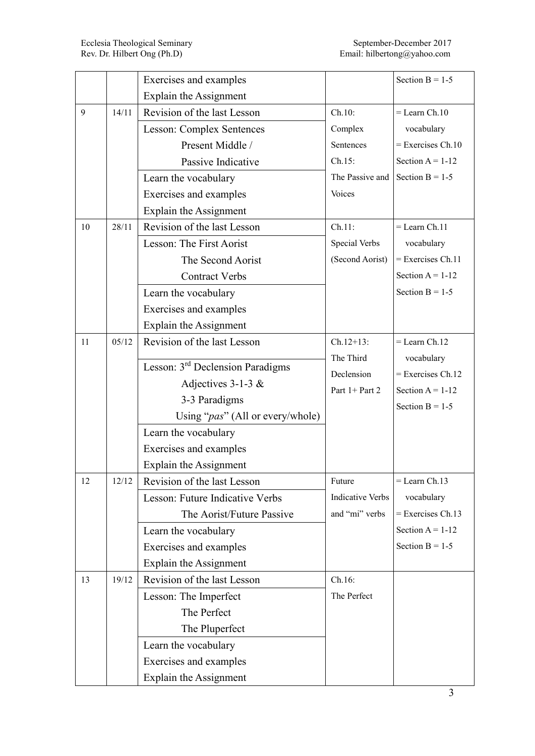|    |       | Exercises and examples                       |                                   | Section $B = 1-5$                       |
|----|-------|----------------------------------------------|-----------------------------------|-----------------------------------------|
|    |       | Explain the Assignment                       |                                   |                                         |
| 9  | 14/11 | Revision of the last Lesson                  | Ch.10:                            | $=$ Learn Ch.10                         |
|    |       | <b>Lesson: Complex Sentences</b>             | Complex                           | vocabulary                              |
|    |       | Present Middle /                             | Sentences                         | $=$ Exercises Ch.10                     |
|    |       | Passive Indicative                           | $Ch.15$ :                         | Section $A = 1-12$                      |
|    |       | Learn the vocabulary                         | The Passive and                   | Section $B = 1-5$                       |
|    |       | Exercises and examples                       | Voices                            |                                         |
|    |       | Explain the Assignment                       |                                   |                                         |
| 10 | 28/11 | Revision of the last Lesson                  | Ch.11:                            | $=$ Learn Ch.11                         |
|    |       | Lesson: The First Aorist                     | Special Verbs                     | vocabulary                              |
|    |       | The Second Aorist                            | (Second Aorist)                   | $=$ Exercises Ch.11                     |
|    |       | <b>Contract Verbs</b>                        |                                   | Section $A = 1-12$                      |
|    |       | Learn the vocabulary                         |                                   | Section $B = 1-5$                       |
|    |       | Exercises and examples                       |                                   |                                         |
|    |       | <b>Explain the Assignment</b>                |                                   |                                         |
| 11 | 05/12 | Revision of the last Lesson                  | $Ch.12+13$ :                      | $=$ Learn Ch.12                         |
|    |       | Lesson: 3 <sup>rd</sup> Declension Paradigms | The Third                         | vocabulary                              |
|    |       |                                              | Declension                        | $=$ Exercises Ch.12                     |
|    |       | Adjectives $3-1-3$ &                         | Part 1+ Part 2                    | Section $A = 1-12$                      |
|    |       | 3-3 Paradigms                                |                                   | Section $B = 1-5$                       |
|    |       | Using " <i>pas</i> " (All or every/whole)    |                                   |                                         |
|    |       | Learn the vocabulary                         |                                   |                                         |
|    |       | Exercises and examples                       |                                   |                                         |
|    |       | Explain the Assignment                       |                                   |                                         |
| 12 | 12/12 | Revision of the last Lesson                  | Future<br><b>Indicative Verbs</b> | $=$ Learn Ch.13                         |
|    |       | Lesson: Future Indicative Verbs              |                                   | vocabulary<br>$=$ Exercises Ch.13       |
|    |       | The Aorist/Future Passive                    | and "mi" verbs                    |                                         |
|    |       | Learn the vocabulary                         |                                   | Section $A = 1-12$<br>Section $B = 1-5$ |
|    |       | Exercises and examples                       |                                   |                                         |
|    |       | Explain the Assignment                       |                                   |                                         |
| 13 | 19/12 | Revision of the last Lesson                  | Ch.16:                            |                                         |
|    |       | Lesson: The Imperfect                        | The Perfect                       |                                         |
|    |       | The Perfect                                  |                                   |                                         |
|    |       | The Pluperfect                               |                                   |                                         |
|    |       | Learn the vocabulary                         |                                   |                                         |
|    |       | Exercises and examples                       |                                   |                                         |
|    |       | Explain the Assignment                       |                                   |                                         |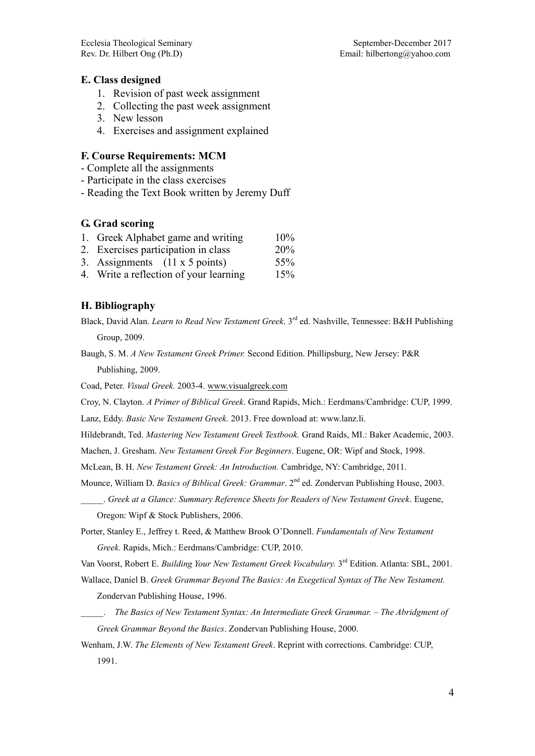#### **E. Class designed**

- 1. Revision of past week assignment
- 2. Collecting the past week assignment
- 3. New lesson
- 4. Exercises and assignment explained

#### **F. Course Requirements: MCM**

- Complete all the assignments
- Participate in the class exercises
- Reading the Text Book written by Jeremy Duff

#### **G. Grad scoring**

- 1. Greek Alphabet game and writing 10%
- 2. Exercises participation in class 20%
- 3. Assignments  $(11 \times 5 \text{ points})$  55%
- 4. Write a reflection of your learning 15%

#### **H. Bibliography**

- Black, David Alan. *Learn to Read New Testament Greek*. 3rd ed. Nashville, Tennessee: B&H Publishing Group, 2009.
- Baugh, S. M. *A New Testament Greek Primer.* Second Edition. Phillipsburg, New Jersey: P&R Publishing, 2009.

Coad, Peter. *Visual Greek.* 2003-4. [www.visualgreek.com](http://www.visualgreek.com/)

Croy, N. Clayton. *A Primer of Biblical Greek*. Grand Rapids, Mich.: Eerdmans/Cambridge: CUP, 1999.

Lanz, Eddy. *Basic New Testament Greek.* 2013. Free download at: www.lanz.li.

Hildebrandt, Ted. *Mastering New Testament Greek Textbook.* Grand Raids, MI.: Baker Academic, 2003.

Machen, J. Gresham. *New Testament Greek For Beginners*. Eugene, OR: Wipf and Stock, 1998.

McLean, B. H. *New Testament Greek: An Introduction.* Cambridge, NY: Cambridge, 2011.

Mounce, William D. *Basics of Biblical Greek: Grammar*. 2<sup>nd</sup> ed. Zondervan Publishing House, 2003.

\_\_\_\_\_. *Greek at a Glance: Summary Reference Sheets for Readers of New Testament Greek*. Eugene, Oregon: Wipf & Stock Publishers, 2006.

Porter, Stanley E., Jeffrey t. Reed, & Matthew Brook O'Donnell. *Fundamentals of New Testament Greek*. Rapids, Mich.: Eerdmans/Cambridge: CUP, 2010.

Van Voorst, Robert E. Building Your New Testament Greek Vocabulary. 3<sup>rd</sup> Edition. Atlanta: SBL, 2001.

Wallace, Daniel B. *Greek Grammar Beyond The Basics: An Exegetical Syntax of The New Testament.* Zondervan Publishing House, 1996.

- \_\_\_\_\_. *The Basics of New Testament Syntax: An Intermediate Greek Grammar. – The Abridgment of Greek Grammar Beyond the Basics*. Zondervan Publishing House, 2000.
- Wenham, J.W. *The Elements of New Testament Greek*. Reprint with corrections. Cambridge: CUP, 1991.